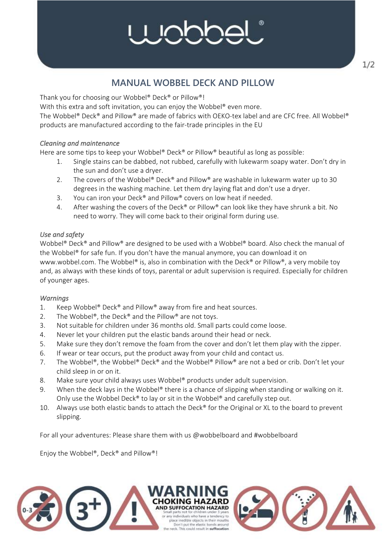# **NNN**

### **MANUAL WOBBEL DECK AND PILLOW**

Thank you for choosing our Wobbel® Deck® or Pillow®!

With this extra and soft invitation, you can enjoy the Wobbel® even more.

The Wobbel® Deck® and Pillow® are made of fabrics with OEKO-tex label and are CFC free. All Wobbel® products are manufactured according to the fair-trade principles in the EU

#### *Cleaning and maintenance*

Here are some tips to keep your Wobbel® Deck® or Pillow® beautiful as long as possible:

- 1. Single stains can be dabbed, not rubbed, carefully with lukewarm soapy water. Don't dry in the sun and don't use a dryer.
- 2. The covers of the Wobbel® Deck® and Pillow® are washable in lukewarm water up to 30 degrees in the washing machine. Let them dry laying flat and don't use a dryer.
- 3. You can iron your Deck® and Pillow® covers on low heat if needed.
- 4. After washing the covers of the Deck® or Pillow® can look like they have shrunk a bit. No need to worry. They will come back to their original form during use.

#### *Use and safety*

Wobbel® Deck® and Pillow® are designed to be used with a Wobbel® board. Also check the manual of the Wobbel® for safe fun. If you don't have the manual anymore, you can download it on www.wobbel.com. The Wobbel® is, also in combination with the Deck® or Pillow®, a very mobile toy and, as always with these kinds of toys, parental or adult supervision is required. Especially for children of younger ages.

#### *Warnings*

- 1. Keep Wobbel® Deck® and Pillow® away from fire and heat sources.
- 2. The Wobbel®, the Deck® and the Pillow® are not toys.
- 3. Not suitable for children under 36 months old. Small parts could come loose.
- 4. Never let your children put the elastic bands around their head or neck.
- 5. Make sure they don't remove the foam from the cover and don't let them play with the zipper.
- 6. If wear or tear occurs, put the product away from your child and contact us.
- 7. The Wobbel®, the Wobbel® Deck® and the Wobbel® Pillow® are not a bed or crib. Don't let your child sleep in or on it.
- 8. Make sure your child always uses Wobbel® products under adult supervision.
- 9. When the deck lays in the Wobbel® there is a chance of slipping when standing or walking on it. Only use the Wobbel Deck® to lay or sit in the Wobbel® and carefully step out.
- 10. Always use both elastic bands to attach the Deck® for the Original or XL to the board to prevent slipping.

For all your adventures: Please share them with us @wobbelboard and #wobbelboard

Enjoy the Wobbel®, Deck® and Pillow®!